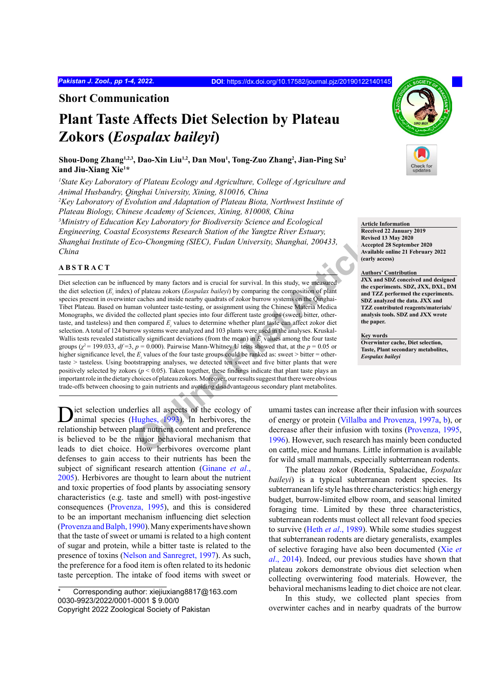## **Short Communication**

# **Plant Taste Affects Diet Selection by Plateau Zokors (***Eospalax baileyi***)**

**Shou-Dong Zhang1,2,3, Dao-Xin Liu1,2, Dan Mou1 , Tong-Zuo Zhang2 , Jian-Ping Su2 and Jiu-Xiang Xie1 \***

*1 State Key Laboratory of Plateau Ecology and Agriculture, College of Agriculture and Animal Husbandry, Qinghai University, Xining, 810016, China 2 Key Laboratory of Evolution and Adaptation of Plateau Biota, Northwest Institute of Plateau Biology, Chinese Academy of Sciences, Xining, 810008, China 3 Ministry of Education Key Laboratory for Biodiversity Science and Ecological Engineering, Coastal Ecosystems Research Station of the Yangtze River Estuary, Shanghai Institute of Eco-Chongming (SIEC), Fudan University, Shanghai, 200433, China*

## **ABSTRACT**

Co-Chongming (SIEC), Fudan University, Shanghai, 200433,<br>
Co-Chongming (SIEC), Fudan University, Shanghai, 200433,<br>
Necept<br>
accept<br>
or plateau zokors and is crucial for survival. In this study, we measured<br>
of plateau zoko Diet selection can be influenced by many factors and is crucial for survival. In this study, we measured the diet selection (*Ei* index) of plateau zokors (*Eospalax baileyi*) by comparing the composition of plant species present in overwinter caches and inside nearby quadrats of zokor burrow systems on the Qinghai-Tibet Plateau. Based on human volunteer taste-testing, or assignment using the Chinese Materia Medica Monographs, we divided the collected plant species into four different taste groups (sweet, bitter, othertaste, and tasteless) and then compared  $E<sub>i</sub>$  values to determine whether plant taste can affect zokor diet selection. A total of 124 burrow systems were analyzed and 103 plants were used in the analyses. Kruskal-Wallis tests revealed statistically significant deviations (from the mean) in  $E<sub>i</sub>$  values among the four taste groups ( $\chi^2$  = 199.033,  $df = 3$ ,  $p = 0.000$ ). Pairwise Mann-Whitney U tests showed that, at the  $p = 0.05$  or higher significance level, the  $E_i$  values of the four taste groups could be ranked as: sweet > bitter = othertaste > tasteless. Using bootstrapping analyses, we detected ten sweet and five bitter plants that were positively selected by zokors (*p* < 0.05). Taken together, these findings indicate that plant taste plays an important role in the dietary choices of plateau zokors. Moreover, our results suggest that there were obvious trade-offs between choosing to gain nutrients and avoiding disadvantageous secondary plant metabolites.

**Article Information Received 22 January 2019 Revised 13 May 2020 Accepted 28 September 2020 Available online 21 February 2022 (early access)**

#### **Authors' Contribution**

**JXX and SDZ conceived and designed the experiments. SDZ, JXX, DXL, DM and TZZ performed the experiments. SDZ analyzed the data. JXX and TZZ contributed reagents/materials/ analysis tools. SDZ and JXX wrote the paper.**

**Key words**

**Overwinter cache, Diet selection, Taste, Plant secondary metabolites,**  *Eospalax baileyi*

Diet selection underlies all aspects of the ecology of animal species (Hughes, 1993). In herbivores, the relationship between plant nutrient content and preference is believed to be the major behavioral mechanism that leads to diet choice. How herbivores overcome plant defenses to gain access to their nutrients has been the subject of significant research attention (Ginane *et al*., 2005). Herbivores are thought to learn about the nutrient and toxic properties of food plants by associating sensory characteristics (e.g. taste and smell) with post-ingestive consequences (Provenza, 1995), and this is considered to be an important mechanism influencing diet selection (Provenza and Balph, 1990). Many experiments have shown that the taste of sweet or umami is related to a high content of sugar and protein, while a bitter taste is related to the presence of toxins (Nelson and Sanregret, 1997). As such, the preference for a food item is often related to its hedonic taste perception. The intake of food items with sweet or

Corresponding author: xiejiuxiang8817@163.com 0030-9923/2022/0001-0001 \$ 9.00/0

umami tastes can increase after their infusion with sources of energy or protein (Villalba and Provenza, 1997a, b), or decrease after their infusion with toxins (Provenza, 1995, 1996). However, such research has mainly been conducted on cattle, mice and humans. Little information is available for wild small mammals, especially subterranean rodents.

The plateau zokor (Rodentia, Spalacidae, *Eospalax baileyi*) is a typical subterranean rodent species. Its subterranean life style has three characteristics: high energy budget, burrow-limited elbow room, and seasonal limited foraging time. Limited by these three characteristics, subterranean rodents must collect all relevant food species to survive (Heth *et al*., 1989). While some studies suggest that subterranean rodents are dietary generalists, examples of selective foraging have also been documented (Xie *et al*., 2014). Indeed, our previous studies have shown that plateau zokors demonstrate obvious diet selection when collecting overwintering food materials. However, the behavioral mechanisms leading to diet choice are not clear.

In this study, we collected plant species from overwinter caches and in nearby quadrats of the burrow

Copyright 2022 Zoological Society of Pakistan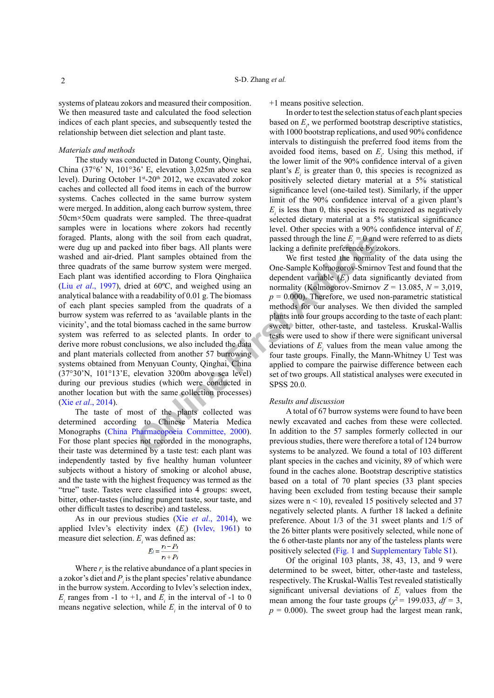systems of plateau zokors and measured their composition. We then measured taste and calculated the food selection indices of each plant species, and subsequently tested the relationship between diet selection and plant taste.

#### *Materials and methods*

with the soil from each quadrat,<br>
passed through the line  $E_i = 0$  and<br>
Plant samples obtained from the<br>
Plant samples botained from the<br>
are lacking a definite preference by z<br>
are alterablity of 0.01 g. The biomass with The study was conducted in Datong County, Qinghai, China (37°6' N, 101°36' E, elevation 3,025m above sea level). During October  $1<sup>st</sup> - 20<sup>th</sup> 2012$ , we excavated zokor caches and collected all food items in each of the burrow systems. Caches collected in the same burrow system were merged. In addition, along each burrow system, three 50cm×50cm quadrats were sampled. The three-quadrat samples were in locations where zokors had recently foraged. Plants, along with the soil from each quadrat, were dug up and packed into fiber bags. All plants were washed and air-dried. Plant samples obtained from the three quadrats of the same burrow system were merged. Each plant was identified according to Flora Qinghaiica (Liu *et al*., 1997), dried at 60ºC, and weighed using an analytical balance with a readability of 0.01 g. The biomass of each plant species sampled from the quadrats of a burrow system was referred to as 'available plants in the vicinity', and the total biomass cached in the same burrow system was referred to as selected plants. In order to derive more robust conclusions, we also included the data and plant materials collected from another 57 burrowing systems obtained from Menyuan County, Qinghai, China (37°30'N, 101°13'E, elevation 3200m above sea level) during our previous studies (which were conducted in another location but with the same collection processes) (Xie *et al*., 2014).

The taste of most of the plants collected was determined according to Chinese Materia Medica Monographs (China Pharmacopoeia Committee, 2000). For those plant species not recorded in the monographs, their taste was determined by a taste test: each plant was independently tasted by five healthy human volunteer subjects without a history of smoking or alcohol abuse, and the taste with the highest frequency was termed as the "true" taste. Tastes were classified into 4 groups: sweet, bitter, other-tastes (including pungent taste, sour taste, and other difficult tastes to describe) and tasteless.

As in our previous studies (Xie *et al*., 2014), we applied Ivlev's electivity index  $(E_i)$  (Ivlev, 1961) to measure diet selection.  $E_i$  was defined as:

$$
E_i = \frac{r_i - P_i}{r_i + P_i}
$$

Where  $r_i$  is the relative abundance of a plant species in a zokor's diet and  $P_i$  is the plant species' relative abundance in the burrow system. According to Ivlev's selection index,  $E_i$  ranges from -1 to +1, and  $E_i$  in the interval of -1 to 0 means negative selection, while  $E<sub>i</sub>$  in the interval of 0 to +1 means positive selection.

In order to test the selection status of each plant species based on  $E_i$ , we performed bootstrap descriptive statistics, with 1000 bootstrap replications, and used 90% confidence intervals to distinguish the preferred food items from the avoided food items, based on  $E_i$ . Using this method, if the lower limit of the 90% confidence interval of a given plant's  $E_i$  is greater than 0, this species is recognized as positively selected dietary material at a 5% statistical significance level (one-tailed test). Similarly, if the upper limit of the 90% confidence interval of a given plant's  $E<sub>i</sub>$  is less than 0, this species is recognized as negatively selected dietary material at a 5% statistical significance level. Other species with a 90% confidence interval of *Ei* passed through the line  $E_i = 0$  and were referred to as diets lacking a definite preference by zokors.

We first tested the normality of the data using the One-Sample Kolmogorov-Smirnov Test and found that the dependent variable  $(E<sub>i</sub>)$  data significantly deviated from normality (Kolmogorov-Smirnov *Z* = 13.085, *N* = 3,019,  $p = 0.000$ . Therefore, we used non-parametric statistical methods for our analyses. We then divided the sampled plants into four groups according to the taste of each plant: sweet, bitter, other-taste, and tasteless. Kruskal-Wallis tests were used to show if there were significant universal deviations of  $E_i$  values from the mean value among the four taste groups. Finally, the Mann-Whitney U Test was applied to compare the pairwise difference between each set of two groups. All statistical analyses were executed in SPSS 20.0.

#### *Results and discussion*

A total of 67 burrow systems were found to have been newly excavated and caches from these were collected. In addition to the 57 samples formerly collected in our previous studies, there were therefore a total of 124 burrow systems to be analyzed. We found a total of 103 different plant species in the caches and vicinity, 89 of which were found in the caches alone. Bootstrap descriptive statistics based on a total of 70 plant species (33 plant species having been excluded from testing because their sample sizes were  $n < 10$ ), revealed 15 positively selected and 37 negatively selected plants. A further 18 lacked a definite preference. About 1/3 of the 31 sweet plants and 1/5 of the 26 bitter plants were positively selected, while none of the 6 other-taste plants nor any of the tasteless plants were positively selected (Fig. 1 and Supplementary Table S1).

Of the original 103 plants, 38, 43, 13, and 9 were determined to be sweet, bitter, other-taste and tasteless, respectively. The Kruskal-Wallis Test revealed statistically significant universal deviations of  $E<sub>i</sub>$  values from the mean among the four taste groups ( $\chi^2$  = 199.033, *df* = 3,  $p = 0.000$ ). The sweet group had the largest mean rank,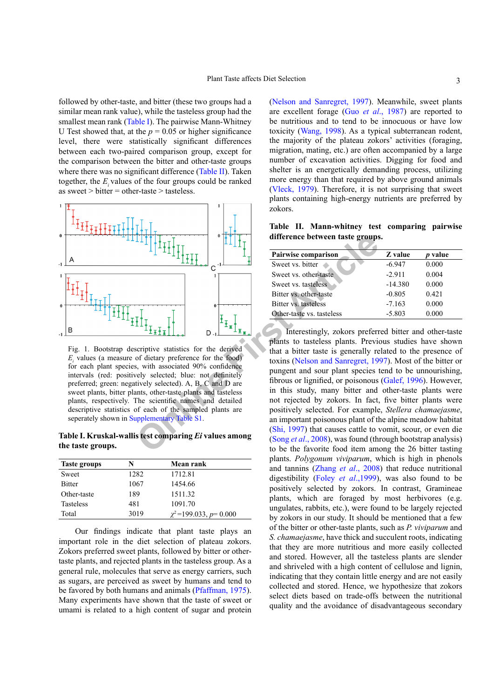followed by other-taste, and bitter (these two groups had a similar mean rank value), while the tasteless group had the smallest mean rank (Table I). The pairwise Mann-Whitney U Test showed that, at the  $p = 0.05$  or higher significance level, there were statistically significant differences between each two-paired comparison group, except for the comparison between the bitter and other-taste groups where there was no significant difference (Table II). Taken together, the *Ei* values of the four groups could be ranked as sweet > bitter = other-taste > tasteless.



Fig. 1. Bootstrap descriptive statistics for the derived  $E<sub>i</sub>$  values (a measure of dietary preference for the food) for each plant species, with associated 90% confidence intervals (red: positively selected; blue: not definitely preferred; green: negatively selected). A, B, C and D are sweet plants, bitter plants, other-taste plants and tasteless plants, respectively. The scientific names and detailed descriptive statistics of each of the sampled plants are seperately shown in Supplementary Table S1.

**Table I. Kruskal-wallis test comparing** *Ei* **values among the taste groups.**

| <b>Taste groups</b> | N    | Mean rank                   |
|---------------------|------|-----------------------------|
| Sweet               | 1282 | 1712.81                     |
| <b>Bitter</b>       | 1067 | 1454.66                     |
| Other-taste         | 189  | 1511.32                     |
| <b>Tasteless</b>    | 481  | 1091.70                     |
| Total               | 3019 | $\chi^2$ =199.033, p= 0.000 |

Our findings indicate that plant taste plays an important role in the diet selection of plateau zokors. Zokors preferred sweet plants, followed by bitter or othertaste plants, and rejected plants in the tasteless group. As a general rule, molecules that serve as energy carriers, such as sugars, are perceived as sweet by humans and tend to be favored by both humans and animals (Pfaffman, 1975). Many experiments have shown that the taste of sweet or umami is related to a high content of sugar and protein

(Nelson and Sanregret, 1997). Meanwhile, sweet plants are excellent forage (Guo *et al*., 1987) are reported to be nutritious and to tend to be innocuous or have low toxicity (Wang, 1998). As a typical subterranean rodent, the majority of the plateau zokors' activities (foraging, migration, mating, etc.) are often accompanied by a large number of excavation activities. Digging for food and shelter is an energetically demanding process, utilizing more energy than that required by above ground animals (Vleck, 1979). Therefore, it is not surprising that sweet plants containing high-energy nutrients are preferred by zokors.

**Table II. Mann-whitney test comparing pairwise difference between taste groups.**

| Pairwise comparison       | Z value   | <i>p</i> value |  |  |  |  |  |  |
|---------------------------|-----------|----------------|--|--|--|--|--|--|
| Sweet vs. bitter          | $-6.947$  | 0.000          |  |  |  |  |  |  |
| Sweet vs. other-taste     | $-2.911$  | 0.004          |  |  |  |  |  |  |
| Sweet vs. tasteless       | $-14.380$ | 0.000          |  |  |  |  |  |  |
| Bitter vs. other-taste    | $-0.805$  | 0.421          |  |  |  |  |  |  |
| Bitter vs. tasteless      | $-7.163$  | 0.000          |  |  |  |  |  |  |
| Other-taste vs. tasteless | $-5.803$  | 0.000          |  |  |  |  |  |  |

The strategy of the sampled plants are<br>  $\frac{1}{2}$  **First Article** C<sup>ond</sup> **C C Exercise C Exercise Served vs. bitter**<br>
Sweet vs. bitter sweet vs. bitter<br>
Sweet vs. bitter sweet vs. bitter<br>
Sweet vs. bitter is solve Interestingly, zokors preferred bitter and other-taste plants to tasteless plants. Previous studies have shown that a bitter taste is generally related to the presence of toxins (Nelson and Sanregret, 1997). Most of the bitter or pungent and sour plant species tend to be unnourishing, fibrous or lignified, or poisonous (Galef, 1996). However, in this study, many bitter and other-taste plants were not rejected by zokors. In fact, five bitter plants were positively selected. For example, *Stellera chamaejasme*, an important poisonous plant of the alpine meadow habitat (Shi, 1997) that causes cattle to vomit, scour, or even die (Song *et al*., 2008), was found (through bootstrap analysis) to be the favorite food item among the 26 bitter tasting plants. *Polygonum viviparum*, which is high in phenols and tannins (Zhang *et al*., 2008) that reduce nutritional digestibility (Foley *et al*.,1999), was also found to be positively selected by zokors. In contrast, Gramineae plants, which are foraged by most herbivores (e.g. ungulates, rabbits, etc.), were found to be largely rejected by zokors in our study. It should be mentioned that a few of the bitter or other-taste plants, such as *P. viviparum* and *S. chamaejasme*, have thick and succulent roots, indicating that they are more nutritious and more easily collected and stored. However, all the tasteless plants are slender and shriveled with a high content of cellulose and lignin, indicating that they contain little energy and are not easily collected and stored. Hence, we hypothesize that zokors select diets based on trade-offs between the nutritional quality and the avoidance of disadvantageous secondary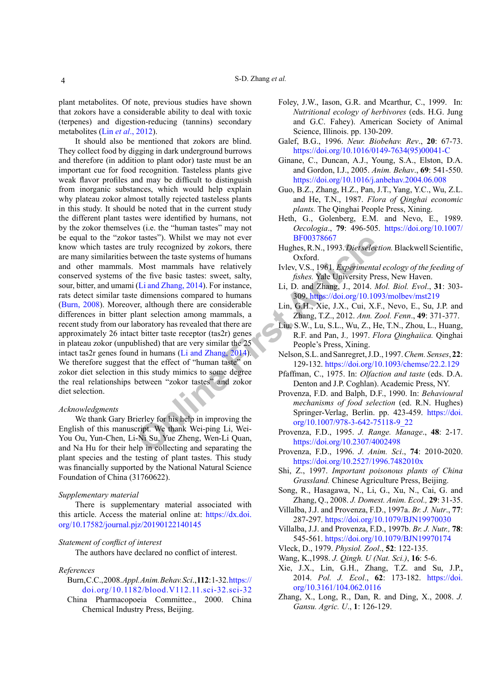plant metabolites. Of note, previous studies have shown that zokors have a considerable ability to deal with toxic (terpenes) and digestion-reducing (tannins) secondary metabolites (Lin *et al*., 2012).

tastes"). Whilst we may not ever<br>
truly recognized by zokors, three<br>
truly recognized by zokors, there<br>
Most mammals have relatively<br>
Most mammals have relatively<br>
Most mammals have relatively<br>
Most mammals have relatively It should also be mentioned that zokors are blind. They collect food by digging in dark underground burrows and therefore (in addition to plant odor) taste must be an important cue for food recognition. Tasteless plants give weak flavor profiles and may be difficult to distinguish from inorganic substances, which would help explain why plateau zokor almost totally rejected tasteless plants in this study. It should be noted that in the current study the different plant tastes were identified by humans, not by the zokor themselves (i.e. the "human tastes" may not be equal to the "zokor tastes"). Whilst we may not ever know which tastes are truly recognized by zokors, there are many similarities between the taste systems of humans and other mammals. Most mammals have relatively conserved systems of the five basic tastes: sweet, salty, sour, bitter, and umami (Li and Zhang, 2014). For instance, rats detect similar taste dimensions compared to humans (Burn, 2008). Moreover, although there are considerable differences in bitter plant selection among mammals, a recent study from our laboratory has revealed that there are approximately 26 intact bitter taste receptor (tas2r) genes in plateau zokor (unpublished) that are very similar the 25 intact tas2r genes found in humans (Li and Zhang, 2014). We therefore suggest that the effect of "human taste" on zokor diet selection in this study mimics to some degree the real relationships between "zokor tastes" and zokor diet selection.

#### *Acknowledgments*

We thank Gary Brierley for his help in improving the English of this manuscript. We thank Wei-ping Li, Wei-You Ou, Yun-Chen, Li-Ni Su, Yue Zheng, Wen-Li Quan, and Na Hu for their help in collecting and separating the plant species and the testing of plant tastes. This study was financially supported by the National Natural Science Foundation of China (31760622).

### *Supplementary material*

There is supplementary material associated with this article. Access the material online at: [https://dx.doi.](https://dx.doi.org/10.17582/journal.pjz/20190122140145) [org/10.17582/journal.pjz/20190122140145](https://dx.doi.org/10.17582/journal.pjz/20190122140145)

#### *Statement of conflict of interest*

The authors have declared no conflict of interest.

#### *References*

- Burn, C.C., 2008. *Appl. Anim. Behav. Sci*., **112**: 1-32. [https://](https://doi.org/10.1182/blood.V112.11.sci-32.sci-32) [doi.org/10.1182/blood.V112.11.sci-32.sci-32](https://doi.org/10.1182/blood.V112.11.sci-32.sci-32)
- China Pharmacopoeia Committee., 2000. China Chemical Industry Press, Beijing.
- Foley, J.W., Iason, G.R. and Mcarthur, C., 1999. In: *Nutritional ecology of herbivores* (eds. H.G. Jung and G.C. Fahey). American Society of Animal Science, Illinois. pp. 130-209.
- Galef, B.G., 1996. *Neur. Biobehav. Rev*., **20**: 67-73. [https://doi.org/10.1016/0149-7634\(95\)00041-C](https://doi.org/10.1016/0149-7634(95)00041-C)
- Ginane, C., Duncan, A.J., Young, S.A., Elston, D.A. and Gordon, I.J., 2005. *Anim. Behav*., **69**: 541-550. <https://doi.org/10.1016/j.anbehav.2004.06.008>
- Guo, B.Z., Zhang, H.Z., Pan, J.T., Yang, Y.C., Wu, Z.L. and He, T.N., 1987. *Flora of Qinghai economic plants.* The Qinghai People Press, Xining.
- Heth, G., Golenberg, E.M. and Nevo, E., 1989. *Oecologia*., **79**: 496-505. [https://doi.org/10.1007/](https://doi.org/10.1007/BF00378667) BF00378667
- Hughes, R.N., 1993. *Diet selection.* Blackwell Scientific, Oxford.
- Ivlev, V.S., 1961. *Experimental ecology of the feeding of fishes.* Yale University Press, New Haven.
- Li, D. and Zhang, J., 2014. *Mol. Biol. Evol*., **31**: 303- 309.<https://doi.org/10.1093/molbev/mst219>
- Lin, G.H., Xie, J.X., Cui, X.F., Nevo, E., Su, J.P. and Zhang, T.Z., 2012. *Ann. Zool. Fenn*., **49**: 371-377.
- Liu, S.W., Lu, S.L., Wu, Z., He, T.N., Zhou, L., Huang, R.F. and Pan, J*.,* 1997. *Flora Qinghaiica.* Qinghai People's Press, Xining.
- Nelson, S.L. and Sanregret, J.D., 1997. *Chem. Senses*, **22**: 129-132. <https://doi.org/10.1093/chemse/22.2.129>
- Pfaffman, C., 1975. In: *Olfaction and taste* (eds. D.A. Denton and J.P. Coghlan). Academic Press, NY.
- Provenza, F.D. and Balph, D.F., 1990. In: *Behavioural mechanisms of food selection* (ed. R.N. Hughes) Springer-Verlag, Berlin. pp. 423-459. [https://doi.](https://doi.org/10.1007/978-3-642-75118-9_22) [org/10.1007/978-3-642-75118-9\\_22](https://doi.org/10.1007/978-3-642-75118-9_22)
- Provenza, F.D., 1995. *J. Range. Manage*., **48**: 2-17. https://doi.org/10.2307/4002498
- Provenza, F.D., 1996. *J. Anim. Sci*., **74**: 2010-2020. <https://doi.org/10.2527/1996.7482010x>
- Shi, Z., 1997. *Important poisonous plants of China Grassland.* Chinese Agriculture Press, Beijing.
- Song, R., Hasagawa, N., Li, G., Xu, N., Cai, G. and Zhang, Q., 2008. *J. Domest. Anim. Ecol.,* **29**: 31-35.
- Villalba, J.J. and Provenza, F.D., 1997a. *Br. J. Nutr*., **77**: 287-297. <https://doi.org/10.1079/BJN19970030>
- Villalba, J.J. and Provenza, F.D., 1997b. *Br. J. Nutr.,* **78**: 545-561. <https://doi.org/10.1079/BJN19970174>
- Vleck, D., 1979. *Physiol. Zool*., **52**: 122-135.
- Wang, K.,1998. *J. Qingh. U (Nat. Sci.)*, **16**: 5-6.
- Xie, J.X., Lin, G.H., Zhang, T.Z. and Su, J.P., 2014. *Pol. J. Ecol*., **62**: 173-182. [https://doi.](https://doi.org/10.3161/104.062.0116) [org/10.3161/104.062.0116](https://doi.org/10.3161/104.062.0116)
- Zhang, X., Long, R., Dan, R. and Ding, X., 2008. *J. Gansu. Agric. U*., **1**: 126-129.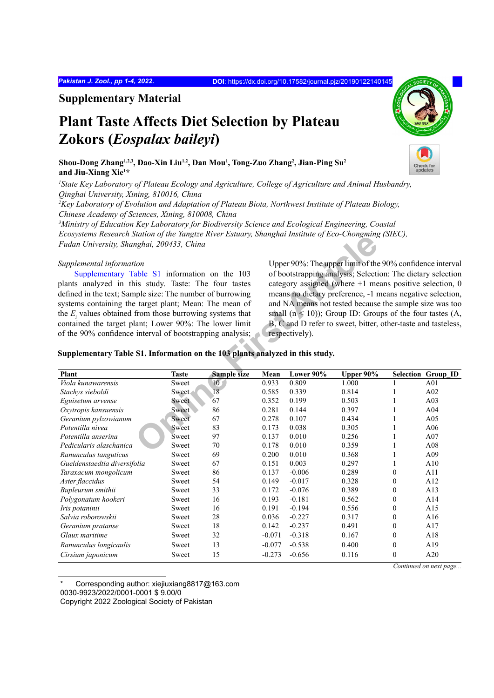*Pakistan J. Zool., pp 1-4, 2022.* **DOI**: <https://dx.doi.org/10.17582/journal.pjz/20190122140145>

**Supplementary Material**

## **Plant Taste Affects Diet Selection by Plateau Zokors (***Eospalax baileyi***)**

**Shou-Dong Zhang1,2,3, Dao-Xin Liu1,2, Dan Mou1 , Tong-Zuo Zhang2 , Jian-Ping Su2 and Jiu-Xiang Xie1 \***

*1 State Key Laboratory of Plateau Ecology and Agriculture, College of Agriculture and Animal Husbandry, Qinghai University, Xining, 810016, China*

*2 Key Laboratory of Evolution and Adaptation of Plateau Biota, Northwest Institute of Plateau Biology, Chinese Academy of Sciences, Xining, 810008, China*

*3 Ministry of Education Key Laboratory for Biodiversity Science and Ecological Engineering, Coastal Ecosystems Research Station of the Yangtze River Estuary, Shanghai Institute of Eco-Chongming (SIEC), Fudan University, Shanghai, 200433, China*

## *Supplemental information*

| Ecosysiems Research Station of the Tangue Kiver Estuary, Shanghat Institute of Eco-Chongming (SIEC),<br>Fudan University, Shanghai, 200433, China                                                                                                                                                                                                                                                                                                                                                                                |              |                 |          |                                                                                                                                                                                                                                                                                                                                                                                                                                                                   |           |                  |                           |  |  |
|----------------------------------------------------------------------------------------------------------------------------------------------------------------------------------------------------------------------------------------------------------------------------------------------------------------------------------------------------------------------------------------------------------------------------------------------------------------------------------------------------------------------------------|--------------|-----------------|----------|-------------------------------------------------------------------------------------------------------------------------------------------------------------------------------------------------------------------------------------------------------------------------------------------------------------------------------------------------------------------------------------------------------------------------------------------------------------------|-----------|------------------|---------------------------|--|--|
| Supplemental information<br>Supplementary Table S1 information on the 103<br>plants analyzed in this study. Taste: The four tastes<br>defined in the text; Sample size: The number of burrowing<br>systems containing the target plant; Mean: The mean of<br>the $E_i$ values obtained from those burrowing systems that<br>contained the target plant; Lower 90%: The lower limit<br>of the 90% confidence interval of bootstrapping analysis;<br>Supplementary Table S1. Information on the 103 plants analyzed in this study. |              |                 |          | Upper 90%: The upper limit of the 90% confidence interval<br>of bootstrapping analysis; Selection: The dietary selection<br>category assigned (where $+1$ means positive selection, 0<br>means no dietary preference, -1 means negative selection,<br>and NA means not tested because the sample size was too<br>small $(n < 10)$ ); Group ID: Groups of the four tastes $(A,$<br>B, C and D refer to sweet, bitter, other-taste and tasteless,<br>respectively). |           |                  |                           |  |  |
| Plant                                                                                                                                                                                                                                                                                                                                                                                                                                                                                                                            | <b>Taste</b> | Sample size     | Mean     | Lower 90%                                                                                                                                                                                                                                                                                                                                                                                                                                                         | Upper 90% |                  | <b>Selection Group_ID</b> |  |  |
| Viola kunawarensis                                                                                                                                                                                                                                                                                                                                                                                                                                                                                                               | Sweet        | 10 <sub>1</sub> | 0.933    | 0.809                                                                                                                                                                                                                                                                                                                                                                                                                                                             | 1.000     | 1                | A01                       |  |  |
| Stachys sieboldi                                                                                                                                                                                                                                                                                                                                                                                                                                                                                                                 | Sweet        | 18              | 0.585    | 0.339                                                                                                                                                                                                                                                                                                                                                                                                                                                             | 0.814     | 1                | A02                       |  |  |
| Eguisetum arvense                                                                                                                                                                                                                                                                                                                                                                                                                                                                                                                | Sweet        | 67              | 0.352    | 0.199                                                                                                                                                                                                                                                                                                                                                                                                                                                             | 0.503     | 1                | A03                       |  |  |
| Oxytropis kansuensis                                                                                                                                                                                                                                                                                                                                                                                                                                                                                                             | Sweet        | 86              | 0.281    | 0.144                                                                                                                                                                                                                                                                                                                                                                                                                                                             | 0.397     | 1                | A04                       |  |  |
| Geranium pylzowianum                                                                                                                                                                                                                                                                                                                                                                                                                                                                                                             | Sweet        | 67              | 0.278    | 0.107                                                                                                                                                                                                                                                                                                                                                                                                                                                             | 0.434     | 1                | A05                       |  |  |
| Potentilla nivea                                                                                                                                                                                                                                                                                                                                                                                                                                                                                                                 | Sweet        | 83              | 0.173    | 0.038                                                                                                                                                                                                                                                                                                                                                                                                                                                             | 0.305     | 1                | A06                       |  |  |
| Potentilla anserina                                                                                                                                                                                                                                                                                                                                                                                                                                                                                                              | Sweet        | 97              | 0.137    | 0.010                                                                                                                                                                                                                                                                                                                                                                                                                                                             | 0.256     | 1                | A07                       |  |  |
| Pedicularis alaschanica                                                                                                                                                                                                                                                                                                                                                                                                                                                                                                          | Sweet        | 70              | 0.178    | 0.010                                                                                                                                                                                                                                                                                                                                                                                                                                                             | 0.359     | 1                | A08                       |  |  |
| Ranunculus tanguticus                                                                                                                                                                                                                                                                                                                                                                                                                                                                                                            | Sweet        | 69              | 0.200    | 0.010                                                                                                                                                                                                                                                                                                                                                                                                                                                             | 0.368     | 1                | A09                       |  |  |
| Gueldenstaedtia diversifolia                                                                                                                                                                                                                                                                                                                                                                                                                                                                                                     | Sweet        | 67              | 0.151    | 0.003                                                                                                                                                                                                                                                                                                                                                                                                                                                             | 0.297     | $\mathbf{1}$     | A10                       |  |  |
| Taraxacum mongolicum                                                                                                                                                                                                                                                                                                                                                                                                                                                                                                             | Sweet        | 86              | 0.137    | $-0.006$                                                                                                                                                                                                                                                                                                                                                                                                                                                          | 0.289     | $\boldsymbol{0}$ | A11                       |  |  |
| Aster flaccidus                                                                                                                                                                                                                                                                                                                                                                                                                                                                                                                  | Sweet        | 54              | 0.149    | $-0.017$                                                                                                                                                                                                                                                                                                                                                                                                                                                          | 0.328     | $\mathbf{0}$     | A12                       |  |  |
| Bupleurum smithii                                                                                                                                                                                                                                                                                                                                                                                                                                                                                                                | Sweet        | 33              | 0.172    | $-0.076$                                                                                                                                                                                                                                                                                                                                                                                                                                                          | 0.389     | $\boldsymbol{0}$ | A13                       |  |  |
| Polygonatum hookeri                                                                                                                                                                                                                                                                                                                                                                                                                                                                                                              | Sweet        | 16              | 0.193    | $-0.181$                                                                                                                                                                                                                                                                                                                                                                                                                                                          | 0.562     | $\boldsymbol{0}$ | A14                       |  |  |
| Iris potaninii                                                                                                                                                                                                                                                                                                                                                                                                                                                                                                                   | Sweet        | 16              | 0.191    | $-0.194$                                                                                                                                                                                                                                                                                                                                                                                                                                                          | 0.556     | $\boldsymbol{0}$ | A15                       |  |  |
| Salvia roborowskii                                                                                                                                                                                                                                                                                                                                                                                                                                                                                                               | Sweet        | 28              | 0.036    | $-0.227$                                                                                                                                                                                                                                                                                                                                                                                                                                                          | 0.317     | $\boldsymbol{0}$ | A16                       |  |  |
| Geranium pratanse                                                                                                                                                                                                                                                                                                                                                                                                                                                                                                                | Sweet        | 18              | 0.142    | $-0.237$                                                                                                                                                                                                                                                                                                                                                                                                                                                          | 0.491     | $\boldsymbol{0}$ | A17                       |  |  |
| Glaux maritime                                                                                                                                                                                                                                                                                                                                                                                                                                                                                                                   | Sweet        | 32              | $-0.071$ | $-0.318$                                                                                                                                                                                                                                                                                                                                                                                                                                                          | 0.167     | $\mathbf{0}$     | A18                       |  |  |
| Ranunculus longicaulis                                                                                                                                                                                                                                                                                                                                                                                                                                                                                                           | Sweet        | 13              | $-0.077$ | $-0.538$                                                                                                                                                                                                                                                                                                                                                                                                                                                          | 0.400     | $\mathbf{0}$     | A19                       |  |  |
| Cirsium japonicum                                                                                                                                                                                                                                                                                                                                                                                                                                                                                                                | Sweet        | 15              | $-0.273$ | $-0.656$                                                                                                                                                                                                                                                                                                                                                                                                                                                          | 0.116     | $\boldsymbol{0}$ | A20                       |  |  |

Corresponding author: xiejiuxiang8817@163.com

0030-9923/2022/0001-0001 \$ 9.00/0

Copyright 2022 Zoological Society of Pakistan



*Continued on next page...*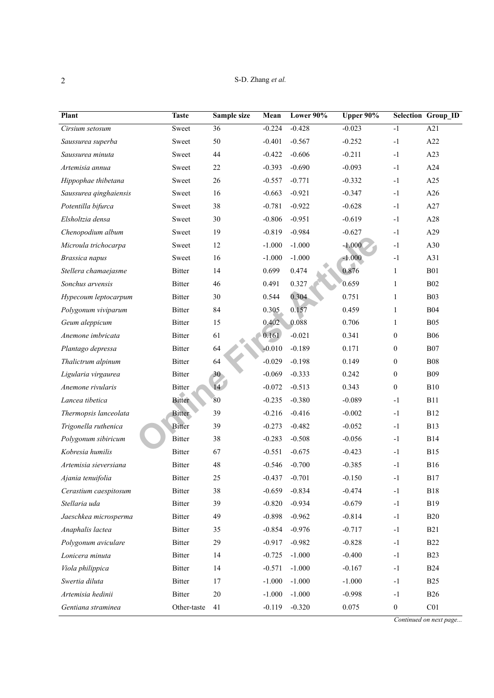| Plant                  | <b>Taste</b>  | Sample size     | Mean     | Lower 90% | Upper 90% |                  | Selection Group_ID |
|------------------------|---------------|-----------------|----------|-----------|-----------|------------------|--------------------|
| Cirsium setosum        | Sweet         | 36              | $-0.224$ | $-0.428$  | $-0.023$  | $-1$             | A21                |
| Saussurea superba      | Sweet         | 50              | $-0.401$ | $-0.567$  | $-0.252$  | $-1$             | A22                |
| Saussurea minuta       | Sweet         | 44              | $-0.422$ | $-0.606$  | $-0.211$  | $-1$             | A23                |
| Artemisia annua        | Sweet         | 22              | $-0.393$ | $-0.690$  | $-0.093$  | $-1$             | A24                |
| Hippophae thibetana    | Sweet         | 26              | $-0.557$ | $-0.771$  | $-0.332$  | $-1$             | A25                |
| Saussurea qinghaiensis | Sweet         | 16              | $-0.663$ | $-0.921$  | $-0.347$  | $-1$             | A26                |
| Potentilla bifurca     | Sweet         | 38              | $-0.781$ | $-0.922$  | $-0.628$  | $-1$             | A27                |
| Elsholtzia densa       | Sweet         | 30              | $-0.806$ | $-0.951$  | $-0.619$  | $-1$             | A28                |
| Chenopodium album      | Sweet         | 19              | $-0.819$ | $-0.984$  | $-0.627$  | $-1$             | A29                |
| Microula trichocarpa   | Sweet         | 12              | $-1.000$ | $-1.000$  | $-1.000$  | $-1$             | A30                |
| Brassica napus         | Sweet         | 16              | $-1.000$ | $-1.000$  | $-1.000$  | $-1$             | A31                |
| Stellera chamaejasme   | <b>Bitter</b> | 14              | 0.699    | 0.474     | 0.876     | $\mathbf{1}$     | <b>B01</b>         |
| Sonchus arvensis       | Bitter        | 46              | 0.491    | 0.327     | 0.659     | 1                | B02                |
| Hypecoum leptocarpum   | <b>Bitter</b> | 30              | 0.544    | 0.304     | 0.751     | $\mathbf{1}$     | <b>B03</b>         |
| Polygonum viviparum    | Bitter        | 84              | 0.305    | 0.157     | 0.459     | $\mathbf{1}$     | <b>B04</b>         |
| Geum aleppicum         | Bitter        | 15              | 0.402    | 0.088     | 0.706     | $\mathbf{1}$     | <b>B05</b>         |
| Anemone imbricata      | <b>Bitter</b> | 61              | 0.161    | $-0.021$  | 0.341     | $\boldsymbol{0}$ | <b>B06</b>         |
| Plantago depressa      | Bitter        | 64              | $-0.010$ | $-0.189$  | 0.171     | $\boldsymbol{0}$ | ${\rm B}07$        |
| Thalictrum alpinum     | Bitter        | 64              | $-0.029$ | $-0.198$  | 0.149     | $\boldsymbol{0}$ | <b>B08</b>         |
| Ligularia virgaurea    | Bitter        | 30 <sup>°</sup> | $-0.069$ | $-0.333$  | 0.242     | $\boldsymbol{0}$ | <b>B09</b>         |
| Anemone rivularis      | Bitter        | 14              | $-0.072$ | $-0.513$  | 0.343     | $\boldsymbol{0}$ | B10                |
| Lancea tibetica        | <b>Bitter</b> | 80              | $-0.235$ | $-0.380$  | $-0.089$  | $-1$             | <b>B11</b>         |
| Thermopsis lanceolata  | <b>Bitter</b> | 39              | $-0.216$ | $-0.416$  | $-0.002$  | $-1$             | <b>B12</b>         |
| Trigonella ruthenica   | <b>Bitter</b> | 39              | $-0.273$ | $-0.482$  | $-0.052$  | $-1$             | <b>B13</b>         |
| Polygonum sibiricum    | Bitter        | 38              | $-0.283$ | $-0.508$  | $-0.056$  | $-1$             | <b>B14</b>         |
| Kobresia humilis       | Bitter        | 67              | $-0.551$ | $-0.675$  | $-0.423$  | $-1$             | <b>B15</b>         |
| Artemisia sieversiana  | <b>Bitter</b> | 48              | $-0.546$ | $-0.700$  | $-0.385$  | $-1$             | <b>B16</b>         |
| Ajania tenuifolia      | Bitter        | 25              | $-0.437$ | $-0.701$  | $-0.150$  | $-1$             | <b>B17</b>         |
| Cerastium caespitosum  | Bitter        | 38              | $-0.659$ | $-0.834$  | $-0.474$  | $-1$             | <b>B18</b>         |
| Stellaria uda          | Bitter        | 39              | $-0.820$ | $-0.934$  | $-0.679$  | $-1$             | <b>B19</b>         |
| Jaeschkea microsperma  | Bitter        | 49              | $-0.898$ | $-0.962$  | $-0.814$  | $-1$             | <b>B20</b>         |
| Anaphalis lactea       | Bitter        | 35              | $-0.854$ | $-0.976$  | $-0.717$  | $-1$             | <b>B21</b>         |
| Polygonum aviculare    | Bitter        | 29              | $-0.917$ | $-0.982$  | $-0.828$  | $-1$             | <b>B22</b>         |
| Lonicera minuta        | Bitter        | 14              | $-0.725$ | $-1.000$  | $-0.400$  | $-1$             | <b>B23</b>         |
| Viola philippica       | <b>Bitter</b> | 14              | $-0.571$ | $-1.000$  | $-0.167$  | $-1$             | <b>B24</b>         |
| Swertia diluta         | Bitter        | 17              | $-1.000$ | $-1.000$  | $-1.000$  | $-1$             | <b>B25</b>         |
| Artemisia hedinii      | Bitter        | $20\,$          | $-1.000$ | $-1.000$  | $-0.998$  | $-1$             | <b>B26</b>         |
| Gentiana straminea     | Other-taste   | 41              | $-0.119$ | $-0.320$  | 0.075     | $\boldsymbol{0}$ | C <sub>01</sub>    |

*Continued on next page...*